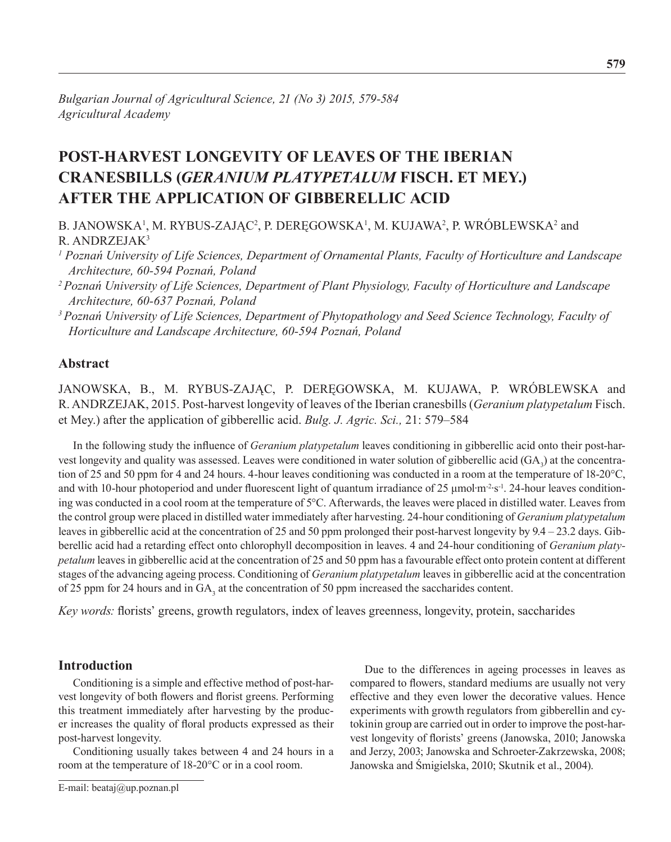# **POST-HARVEST LONGEVITY OF LEAVES OF THE IBERIAN CRANESBILLs (***Geranium platypetalum* **FISCH. ET MEY.) AFTER THE APPLICATION OF GIBBERELLIC ACID**

B. JANOWSKA', M. RYBUS-ZAJĄC<sup>2</sup>, P. DERĘGOWSKA', M. KUJAWA<sup>2</sup>, P. WROBLEWSKA<sup>2</sup> and R. Andrzejak3

*1 Poznań University of Life Sciences, Department of Ornamental Plants, Faculty of Horticulture and Landscape Architecture, 60-594 Poznań, Poland*

*<sup>2</sup>Poznań University of Life Sciences, Department of Plant Physiology, Faculty of Horticulture and Landscape Architecture, 60-637 Poznań, Poland*

*3 Poznań University of Life Sciences, Department of Phytopathology and Seed Science Technology, Faculty of Horticulture and Landscape Architecture, 60-594 Poznań, Poland*

# **Abstract**

JANOWSKA, B., M. RYBUS-ZAJAC, P. DEREGOWSKA, M. KUJAWA, P. WRÓBLEWSKA and R. Andrzejak, 2015. Post-harvest longevity of leaves of the Iberian cranesbills (*Geranium platypetalum* Fisch. et Mey.) after the application of gibberellic acid. *Bulg. J. Agric. Sci.,* 21: 579–584

In the following study the influence of *Geranium platypetalum* leaves conditioning in gibberellic acid onto their post-harvest longevity and quality was assessed. Leaves were conditioned in water solution of gibberellic acid  $(GA_3)$  at the concentration of 25 and 50 ppm for 4 and 24 hours. 4-hour leaves conditioning was conducted in a room at the temperature of 18-20°C, and with 10-hour photoperiod and under fluorescent light of quantum irradiance of 25 μmol∙m-2∙s-1. 24-hour leaves conditioning was conducted in a cool room at the temperature of 5°C. Afterwards, the leaves were placed in distilled water. Leaves from the control group were placed in distilled water immediately after harvesting. 24-hour conditioning of *Geranium platypetalum*  leaves in gibberellic acid at the concentration of 25 and 50 ppm prolonged their post-harvest longevity by 9.4 – 23.2 days. Gibberellic acid had a retarding effect onto chlorophyll decomposition in leaves. 4 and 24-hour conditioning of *Geranium platypetalum* leaves in gibberellic acid at the concentration of 25 and 50 ppm has a favourable effect onto protein content at different stages of the advancing ageing process. Conditioning of *Geranium platypetalum* leaves in gibberellic acid at the concentration of 25 ppm for 24 hours and in  $GA_3$  at the concentration of 50 ppm increased the saccharides content.

*Key words:* florists' greens, growth regulators, index of leaves greenness, longevity, protein, saccharides

# **Introduction**

Conditioning is a simple and effective method of post-harvest longevity of both flowers and florist greens. Performing this treatment immediately after harvesting by the producer increases the quality of floral products expressed as their post-harvest longevity.

Conditioning usually takes between 4 and 24 hours in a room at the temperature of 18-20°C or in a cool room.

Due to the differences in ageing processes in leaves as compared to flowers, standard mediums are usually not very effective and they even lower the decorative values. Hence experiments with growth regulators from gibberellin and cytokinin group are carried out in order to improve the post-harvest longevity of florists' greens (Janowska, 2010; Janowska and Jerzy, 2003; Janowska and Schroeter-Zakrzewska, 2008; Janowska and Śmigielska, 2010; Skutnik et al., 2004).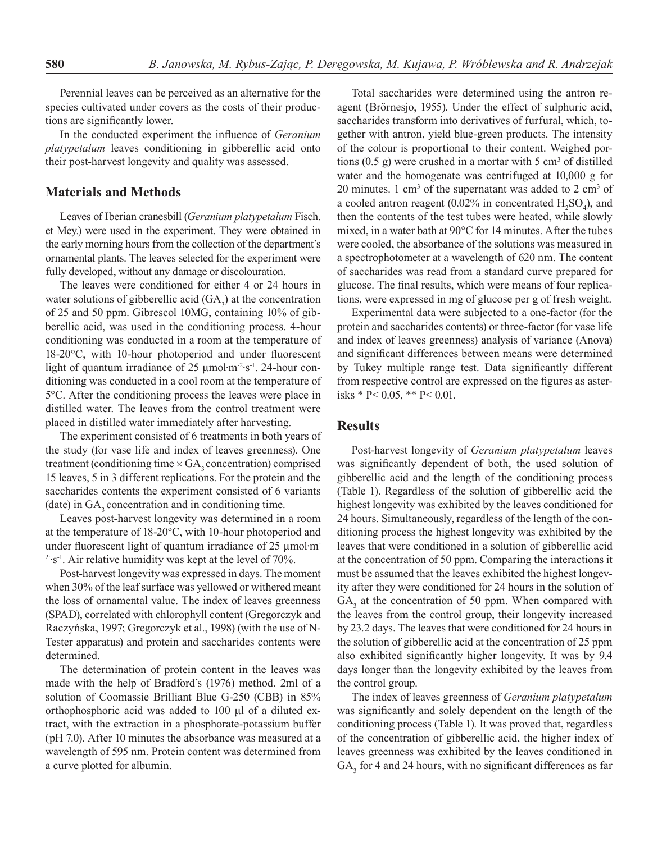Perennial leaves can be perceived as an alternative for the species cultivated under covers as the costs of their productions are significantly lower.

In the conducted experiment the influence of *Geranium platypetalum* leaves conditioning in gibberellic acid onto their post-harvest longevity and quality was assessed.

# **Materials and Methods**

Leaves of Iberian cranesbill (*Geranium platypetalum* Fisch. et Mey.) were used in the experiment. They were obtained in the early morning hours from the collection of the department's ornamental plants. The leaves selected for the experiment were fully developed, without any damage or discolouration.

The leaves were conditioned for either 4 or 24 hours in water solutions of gibberellic acid  $(GA_3)$  at the concentration of 25 and 50 ppm. Gibrescol 10MG, containing 10% of gibberellic acid, was used in the conditioning process. 4-hour conditioning was conducted in a room at the temperature of 18-20°C, with 10-hour photoperiod and under fluorescent light of quantum irradiance of 25 μmol⋅m<sup>-2</sup>⋅s<sup>-1</sup>. 24-hour conditioning was conducted in a cool room at the temperature of 5°C. After the conditioning process the leaves were place in distilled water. The leaves from the control treatment were placed in distilled water immediately after harvesting.

The experiment consisted of 6 treatments in both years of the study (for vase life and index of leaves greenness). One treatment (conditioning time  $\times$  GA<sub>3</sub> concentration) comprised 15 leaves, 5 in 3 different replications. For the protein and the saccharides contents the experiment consisted of 6 variants (date) in GA, concentration and in conditioning time.

Leaves post-harvest longevity was determined in a room at the temperature of 18-20ºC, with 10-hour photoperiod and under fluorescent light of quantum irradiance of 25 µmol∙m-2∙∙s-1. Air relative humidity was kept at the level of 70%.

Post-harvest longevity was expressed in days. The moment when 30% of the leaf surface was yellowed or withered meant the loss of ornamental value. The index of leaves greenness (SPAD), correlated with chlorophyll content (Gregorczyk and Raczyńska, 1997; Gregorczyk et al., 1998) (with the use of N-Tester apparatus) and protein and saccharides contents were determined.

The determination of protein content in the leaves was made with the help of Bradford's (1976) method. 2ml of a solution of Coomassie Brilliant Blue G-250 (CBB) in 85% orthophosphoric acid was added to 100 μl of a diluted extract, with the extraction in a phosphorate-potassium buffer (pH 7.0). After 10 minutes the absorbance was measured at a wavelength of 595 nm. Protein content was determined from a curve plotted for albumin.

Total saccharides were determined using the antron reagent (Brörnesjo, 1955). Under the effect of sulphuric acid, saccharides transform into derivatives of furfural, which, together with antron, yield blue-green products. The intensity of the colour is proportional to their content. Weighed portions  $(0.5 \text{ g})$  were crushed in a mortar with 5 cm<sup>3</sup> of distilled water and the homogenate was centrifuged at 10,000 g for 20 minutes. 1 cm<sup>3</sup> of the supernatant was added to 2 cm<sup>3</sup> of a cooled antron reagent (0.02% in concentrated  $H_2SO_4$ ), and then the contents of the test tubes were heated, while slowly mixed, in a water bath at 90°C for 14 minutes. After the tubes were cooled, the absorbance of the solutions was measured in a spectrophotometer at a wavelength of 620 nm. The content of saccharides was read from a standard curve prepared for glucose. The final results, which were means of four replications, were expressed in mg of glucose per g of fresh weight.

Experimental data were subjected to a one-factor (for the protein and saccharides contents) or three-factor (for vase life and index of leaves greenness) analysis of variance (Anova) and significant differences between means were determined by Tukey multiple range test. Data significantly different from respective control are expressed on the figures as asterisks \* P< 0.05, \*\* P< 0.01.

# **Results**

Post-harvest longevity of *Geranium platypetalum* leaves was significantly dependent of both, the used solution of gibberellic acid and the length of the conditioning process (Table 1). Regardless of the solution of gibberellic acid the highest longevity was exhibited by the leaves conditioned for 24 hours. Simultaneously, regardless of the length of the conditioning process the highest longevity was exhibited by the leaves that were conditioned in a solution of gibberellic acid at the concentration of 50 ppm. Comparing the interactions it must be assumed that the leaves exhibited the highest longevity after they were conditioned for 24 hours in the solution of  $GA<sub>3</sub>$  at the concentration of 50 ppm. When compared with the leaves from the control group, their longevity increased by 23.2 days. The leaves that were conditioned for 24 hours in the solution of gibberellic acid at the concentration of 25 ppm also exhibited significantly higher longevity. It was by 9.4 days longer than the longevity exhibited by the leaves from the control group.

The index of leaves greenness of *Geranium platypetalum*  was significantly and solely dependent on the length of the conditioning process (Table 1). It was proved that, regardless of the concentration of gibberellic acid, the higher index of leaves greenness was exhibited by the leaves conditioned in  $GA_3$  for 4 and 24 hours, with no significant differences as far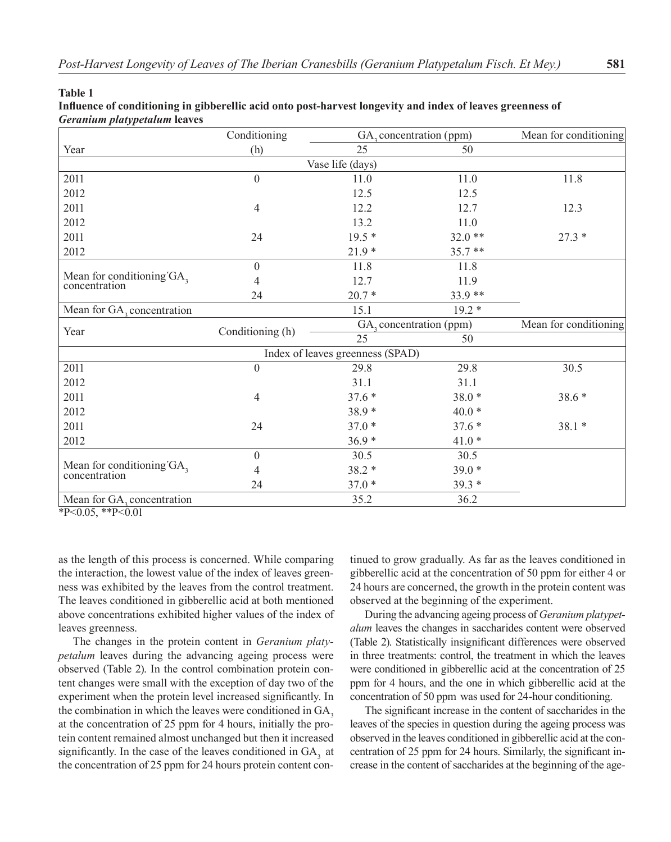#### **Table 1**

### **Influence of conditioning in gibberellic acid onto post-harvest longevity and index of leaves greenness of**  *Geranium platypetalum* **leaves**

|                                                      | Conditioning     | GA <sub>2</sub> concentration (ppm) | Mean for conditioning               |                       |  |  |  |  |  |
|------------------------------------------------------|------------------|-------------------------------------|-------------------------------------|-----------------------|--|--|--|--|--|
| Year                                                 | (h)              | 25                                  | 50                                  |                       |  |  |  |  |  |
| Vase life (days)                                     |                  |                                     |                                     |                       |  |  |  |  |  |
| 2011                                                 | $\boldsymbol{0}$ | 11.0                                | 11.0                                | 11.8                  |  |  |  |  |  |
| 2012                                                 |                  | 12.5                                | 12.5                                |                       |  |  |  |  |  |
| 2011                                                 | 4                | 12.2                                | 12.7                                | 12.3                  |  |  |  |  |  |
| 2012                                                 |                  | 13.2                                | 11.0                                |                       |  |  |  |  |  |
| 2011                                                 | 24               | $19.5*$                             | $32.0**$                            | $27.3*$               |  |  |  |  |  |
| 2012                                                 |                  | $21.9*$                             | $35.7**$                            |                       |  |  |  |  |  |
|                                                      | $\boldsymbol{0}$ | 11.8                                | 11.8                                |                       |  |  |  |  |  |
| Mean for conditioning $\text{GA}_3$<br>concentration | 4                | 12.7                                | 11.9                                |                       |  |  |  |  |  |
|                                                      | 24               | $20.7*$                             | $33.9**$                            |                       |  |  |  |  |  |
| Mean for GA, concentration                           |                  | 15.1                                | $19.2*$                             |                       |  |  |  |  |  |
|                                                      | Conditioning (h) |                                     | GA <sub>2</sub> concentration (ppm) | Mean for conditioning |  |  |  |  |  |
| Year                                                 |                  | 25                                  | 50                                  |                       |  |  |  |  |  |
| Index of leaves greenness (SPAD)                     |                  |                                     |                                     |                       |  |  |  |  |  |
| 2011                                                 | $\boldsymbol{0}$ | 29.8                                | 29.8                                | 30.5                  |  |  |  |  |  |
| 2012                                                 |                  | 31.1                                | 31.1                                |                       |  |  |  |  |  |
| 2011                                                 | 4                | $37.6*$                             | $38.0*$                             | 38.6 *                |  |  |  |  |  |
| 2012                                                 |                  |                                     |                                     |                       |  |  |  |  |  |
|                                                      |                  | $38.9*$                             | $40.0*$                             |                       |  |  |  |  |  |
| 2011                                                 | 24               | $37.0*$                             | $37.6*$                             | $38.1*$               |  |  |  |  |  |
| 2012                                                 |                  | $36.9*$                             | $41.0*$                             |                       |  |  |  |  |  |
|                                                      | $\boldsymbol{0}$ | 30.5                                | 30.5                                |                       |  |  |  |  |  |
|                                                      | 4                | $38.2*$                             | $39.0*$                             |                       |  |  |  |  |  |
| Mean for conditioning $GA_3$<br>concentration        | 24               | $37.0*$                             | $39.3*$                             |                       |  |  |  |  |  |

 $*P<0.05, **P<0.01$ 

as the length of this process is concerned. While comparing the interaction, the lowest value of the index of leaves greenness was exhibited by the leaves from the control treatment. The leaves conditioned in gibberellic acid at both mentioned above concentrations exhibited higher values of the index of leaves greenness.

The changes in the protein content in *Geranium platypetalum* leaves during the advancing ageing process were observed (Table 2). In the control combination protein content changes were small with the exception of day two of the experiment when the protein level increased significantly. In the combination in which the leaves were conditioned in GA, at the concentration of 25 ppm for 4 hours, initially the protein content remained almost unchanged but then it increased significantly. In the case of the leaves conditioned in GA, at the concentration of 25 ppm for 24 hours protein content continued to grow gradually. As far as the leaves conditioned in gibberellic acid at the concentration of 50 ppm for either 4 or 24 hours are concerned, the growth in the protein content was observed at the beginning of the experiment.

During the advancing ageing process of *Geranium platypetalum* leaves the changes in saccharides content were observed (Table 2). Statistically insignificant differences were observed in three treatments: control, the treatment in which the leaves were conditioned in gibberellic acid at the concentration of 25 ppm for 4 hours, and the one in which gibberellic acid at the concentration of 50 ppm was used for 24-hour conditioning.

The significant increase in the content of saccharides in the leaves of the species in question during the ageing process was observed in the leaves conditioned in gibberellic acid at the concentration of 25 ppm for 24 hours. Similarly, the significant increase in the content of saccharides at the beginning of the age-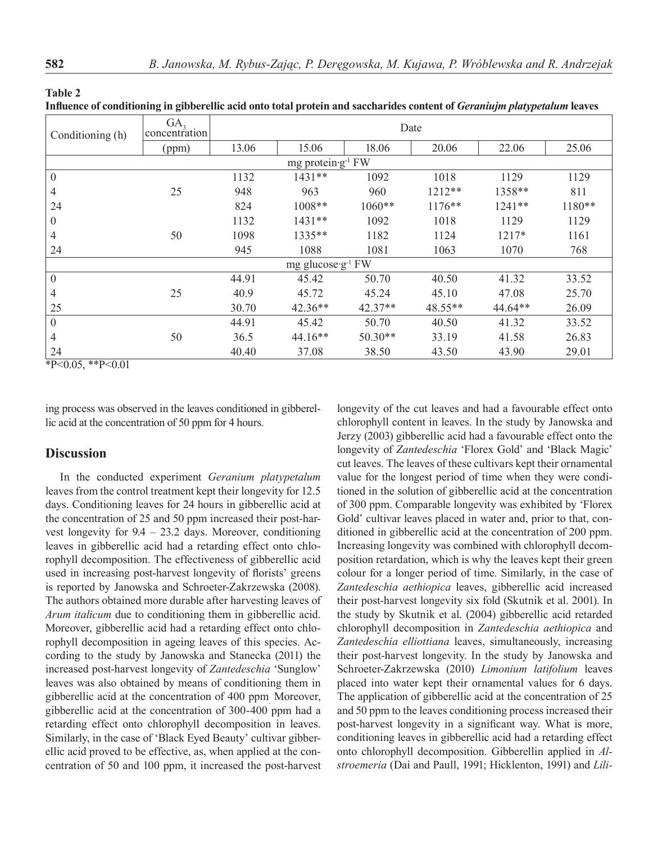| Conditioning (h)             | GA,<br>concentration | Date  |           |           |           |         |        |  |
|------------------------------|----------------------|-------|-----------|-----------|-----------|---------|--------|--|
|                              | (ppm)                | 13.06 | 15.06     | 18.06     | 20.06     | 22.06   | 25.06  |  |
| mg protein g <sup>1</sup> FW |                      |       |           |           |           |         |        |  |
| $\boldsymbol{0}$             |                      | 1132  | $1431**$  | 1092      | 1018      | 1129    | 1129   |  |
| 4                            | 25                   | 948   | 963       | 960       | $1212**$  | 1358**  | 811    |  |
| 24                           |                      | 824   | $1008**$  | $1060**$  | $1176**$  | 1241**  | 1180** |  |
| $\theta$                     |                      | 1132  | $1431**$  | 1092      | 1018      | 1129    | 1129   |  |
| 4                            | 50                   | 1098  | $1335**$  | 1182      | 1124      | $1217*$ | 1161   |  |
| 24                           |                      | 945   | 1088      | 1081      | 1063      | 1070    | 768    |  |
| mg glucose $g^{-1}$ FW       |                      |       |           |           |           |         |        |  |
| $\boldsymbol{0}$             |                      | 44.91 | 45.42     | 50.70     | 40.50     | 41.32   | 33.52  |  |
| $\overline{4}$               | 25                   | 40.9  | 45.72     | 45.24     | 45.10     | 47.08   | 25.70  |  |
| 25                           |                      | 30.70 | $42.36**$ | $42.37**$ | $48.55**$ | 44.64** | 26.09  |  |
| $\boldsymbol{0}$             |                      | 44.91 | 45.42     | 50.70     | 40.50     | 41.32   | 33.52  |  |
| 4                            | 50                   | 36.5  | 44.16**   | $50.30**$ | 33.19     | 41.58   | 26.83  |  |
| 24                           |                      | 40.40 | 37.08     | 38.50     | 43.50     | 43.90   | 29.01  |  |

| Table |  |
|-------|--|
|-------|--|

**Influence of conditioning in gibberellic acid onto total protein and saccharides content of** *Geraniujm platypetalum* **leaves**

 $*P<0.05$ ,  $*P<0.01$ 

ing process was observed in the leaves conditioned in gibberellic acid at the concentration of 50 ppm for 4 hours.

# **Discussion**

In the conducted experiment *Geranium platypetalum*  leaves from the control treatment kept their longevity for 12.5 days. Conditioning leaves for 24 hours in gibberellic acid at the concentration of 25 and 50 ppm increased their post-harvest longevity for 9.4 – 23.2 days. Moreover, conditioning leaves in gibberellic acid had a retarding effect onto chlorophyll decomposition. The effectiveness of gibberellic acid used in increasing post-harvest longevity of florists' greens is reported by Janowska and Schroeter-Zakrzewska (2008). The authors obtained more durable after harvesting leaves of *Arum italicum* due to conditioning them in gibberellic acid. Moreover, gibberellic acid had a retarding effect onto chlorophyll decomposition in ageing leaves of this species. According to the study by Janowska and Stanecka (2011) the increased post-harvest longevity of *Zantedeschia* 'Sunglow' leaves was also obtained by means of conditioning them in gibberellic acid at the concentration of 400 ppm. Moreover, gibberellic acid at the concentration of 300-400 ppm had a retarding effect onto chlorophyll decomposition in leaves. Similarly, in the case of 'Black Eyed Beauty' cultivar gibberellic acid proved to be effective, as, when applied at the concentration of 50 and 100 ppm, it increased the post-harvest

longevity of the cut leaves and had a favourable effect onto chlorophyll content in leaves. In the study by Janowska and Jerzy (2003) gibberellic acid had a favourable effect onto the longevity of *Zantedeschia* 'Florex Gold' and 'Black Magic' cut leaves. The leaves of these cultivars kept their ornamental value for the longest period of time when they were conditioned in the solution of gibberellic acid at the concentration of 300 ppm. Comparable longevity was exhibited by 'Florex Gold' cultivar leaves placed in water and, prior to that, conditioned in gibberellic acid at the concentration of 200 ppm. Increasing longevity was combined with chlorophyll decomposition retardation, which is why the leaves kept their green colour for a longer period of time. Similarly, in the case of *Zantedeschia aethiopica* leaves, gibberellic acid increased their post-harvest longevity six fold (Skutnik et al. 2001). In the study by Skutnik et al. (2004) gibberellic acid retarded chlorophyll decomposition in *Zantedeschia aethiopica* and *Zantedeschia elliottiana* leaves, simultaneously, increasing their post-harvest longevity. In the study by Janowska and Schroeter-Zakrzewska (2010) *Limonium latifolium* leaves placed into water kept their ornamental values for 6 days. The application of gibberellic acid at the concentration of 25 and 50 ppm to the leaves conditioning process increased their post-harvest longevity in a significant way. What is more, conditioning leaves in gibberellic acid had a retarding effect onto chlorophyll decomposition. Gibberellin applied in *Alstroemeria* (Dai and Paull, 1991; Hicklenton, 1991) and *Lili-*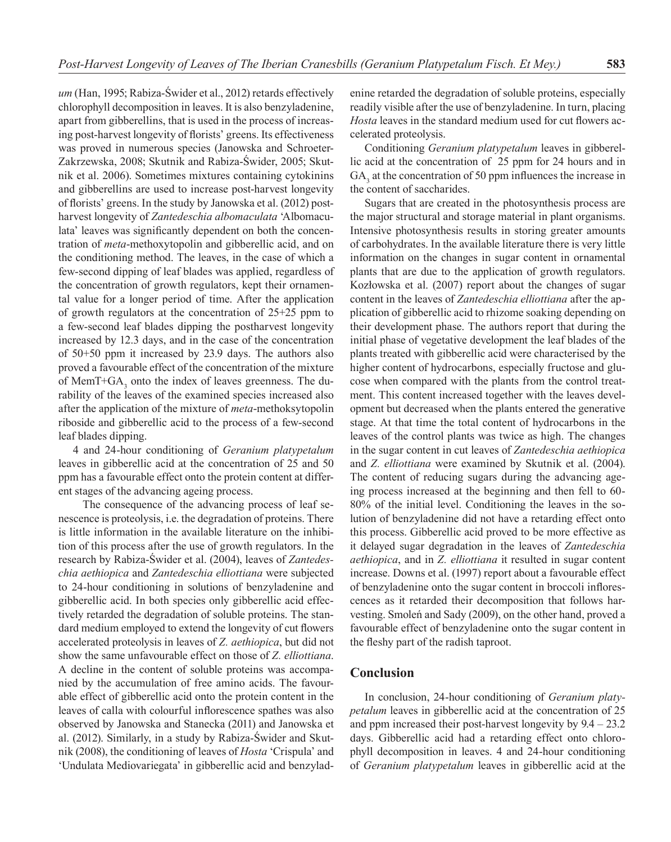*um* (Han, 1995; Rabiza-Świder et al., 2012) retards effectively chlorophyll decomposition in leaves. It is also benzyladenine, apart from gibberellins, that is used in the process of increasing post-harvest longevity of florists' greens. Its effectiveness was proved in numerous species (Janowska and Schroeter-Zakrzewska, 2008; Skutnik and Rabiza-Świder, 2005; Skutnik et al. 2006). Sometimes mixtures containing cytokinins and gibberellins are used to increase post-harvest longevity of florists' greens. In the study by Janowska et al. (2012) postharvest longevity of *Zantedeschia albomaculata* 'Albomaculata' leaves was significantly dependent on both the concentration of *meta*-methoxytopolin and gibberellic acid, and on the conditioning method. The leaves, in the case of which a few-second dipping of leaf blades was applied, regardless of the concentration of growth regulators, kept their ornamental value for a longer period of time. After the application of growth regulators at the concentration of 25+25 ppm to a few-second leaf blades dipping the postharvest longevity increased by 12.3 days, and in the case of the concentration of 50+50 ppm it increased by 23.9 days. The authors also proved a favourable effect of the concentration of the mixture of MemT+ $GA_3$  onto the index of leaves greenness. The durability of the leaves of the examined species increased also after the application of the mixture of *meta*-methoksytopolin riboside and gibberellic acid to the process of a few-second leaf blades dipping.

4 and 24-hour conditioning of *Geranium platypetalum*  leaves in gibberellic acid at the concentration of 25 and 50 ppm has a favourable effect onto the protein content at different stages of the advancing ageing process.

The consequence of the advancing process of leaf senescence is proteolysis, i.e. the degradation of proteins. There is little information in the available literature on the inhibition of this process after the use of growth regulators. In the research by Rabiza-Świder et al. (2004), leaves of *Zantedeschia aethiopica* and *Zantedeschia elliottiana* were subjected to 24-hour conditioning in solutions of benzyladenine and gibberellic acid. In both species only gibberellic acid effectively retarded the degradation of soluble proteins. The standard medium employed to extend the longevity of cut flowers accelerated proteolysis in leaves of *Z. aethiopica*, but did not show the same unfavourable effect on those of *Z. elliottiana*. A decline in the content of soluble proteins was accompanied by the accumulation of free amino acids. The favourable effect of gibberellic acid onto the protein content in the leaves of calla with colourful inflorescence spathes was also observed by Janowska and Stanecka (2011) and Janowska et al. (2012). Similarly, in a study by Rabiza-Świder and Skutnik (2008), the conditioning of leaves of *Hosta* 'Crispula' and 'Undulata Mediovariegata' in gibberellic acid and benzylad-

enine retarded the degradation of soluble proteins, especially readily visible after the use of benzyladenine. In turn, placing *Hosta* leaves in the standard medium used for cut flowers accelerated proteolysis.

Conditioning *Geranium platypetalum* leaves in gibberellic acid at the concentration of 25 ppm for 24 hours and in  $GA<sub>3</sub>$  at the concentration of 50 ppm influences the increase in the content of saccharides.

Sugars that are created in the photosynthesis process are the major structural and storage material in plant organisms. Intensive photosynthesis results in storing greater amounts of carbohydrates. In the available literature there is very little information on the changes in sugar content in ornamental plants that are due to the application of growth regulators. Kozłowska et al. (2007) report about the changes of sugar content in the leaves of *Zantedeschia elliottiana* after the application of gibberellic acid to rhizome soaking depending on their development phase. The authors report that during the initial phase of vegetative development the leaf blades of the plants treated with gibberellic acid were characterised by the higher content of hydrocarbons, especially fructose and glucose when compared with the plants from the control treatment. This content increased together with the leaves development but decreased when the plants entered the generative stage. At that time the total content of hydrocarbons in the leaves of the control plants was twice as high. The changes in the sugar content in cut leaves of *Zantedeschia aethiopica* and *Z. elliottiana* were examined by Skutnik et al. (2004). The content of reducing sugars during the advancing ageing process increased at the beginning and then fell to 60- 80% of the initial level. Conditioning the leaves in the solution of benzyladenine did not have a retarding effect onto this process. Gibberellic acid proved to be more effective as it delayed sugar degradation in the leaves of *Zantedeschia aethiopica*, and in *Z. elliottiana* it resulted in sugar content increase. Downs et al. (1997) report about a favourable effect of benzyladenine onto the sugar content in broccoli inflorescences as it retarded their decomposition that follows harvesting. Smoleń and Sady (2009), on the other hand, proved a favourable effect of benzyladenine onto the sugar content in the fleshy part of the radish taproot.

## **Conclusion**

In conclusion, 24-hour conditioning of *Geranium platypetalum* leaves in gibberellic acid at the concentration of 25 and ppm increased their post-harvest longevity by 9.4 – 23.2 days. Gibberellic acid had a retarding effect onto chlorophyll decomposition in leaves. 4 and 24-hour conditioning of *Geranium platypetalum* leaves in gibberellic acid at the